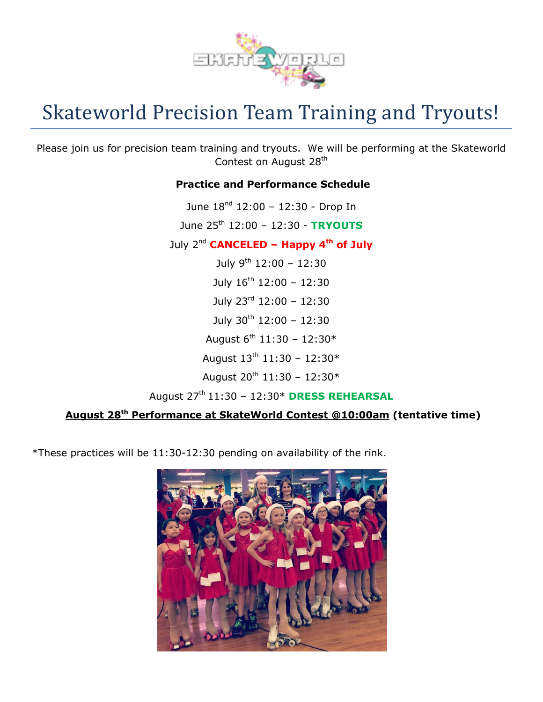

# Skateworld Precision Team Training and Tryouts!

Please join us for precision team training and tryouts. We will be performing at the Skateworld Contest on August 28<sup>th</sup>

## **Practice and Performance Schedule**

June  $18^{nd}$  12:00 - 12:30 - Drop In June 25th 12:00 – 12:30 - **TRYOUTS** July 2nd **CANCELED – Happy 4th of July** July 9<sup>th</sup> 12:00 - 12:30 July  $16^{th}$  12:00 - 12:30 July 23 rd 12:00 – 12:30 July  $30^{th}$  12:00 - 12:30 August  $6^{\text{th}}$  11:30 - 12:30\* August  $13^{th}$  11:30 - 12:30\* August  $20^{th}$  11:30 - 12:30\* August 27 th 11:30 – 12:30\* **DRESS REHEARSAL**

# **August 28th Performance at SkateWorld Contest @10:00am (tentative time)**

\*These practices will be 11:30-12:30 pending on availability of the rink.